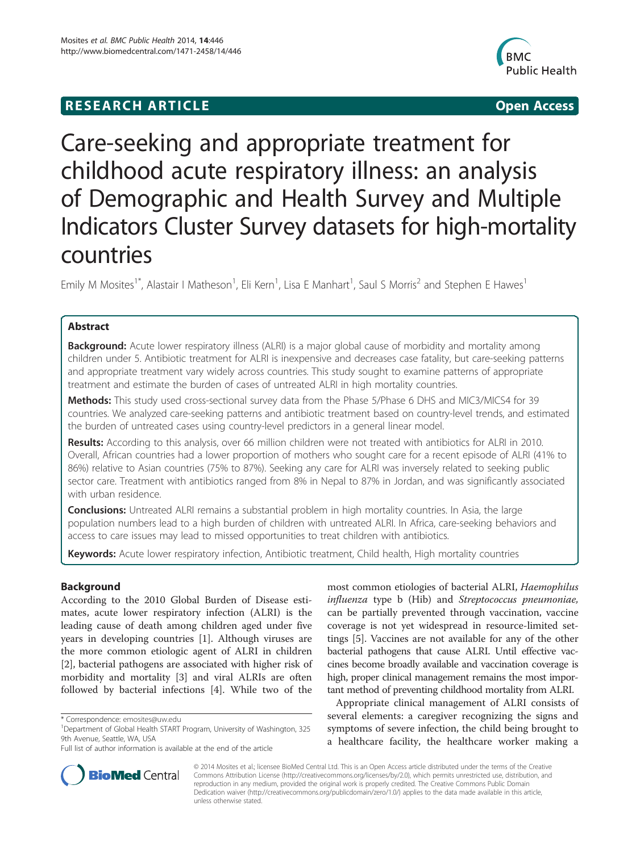# **RESEARCH ARTICLE Example 2014 12:30 The SEAR CHIPS 2014 12:30 The Open Access**



# Care-seeking and appropriate treatment for childhood acute respiratory illness: an analysis of Demographic and Health Survey and Multiple Indicators Cluster Survey datasets for high-mortality countries

Emily M Mosites<sup>1\*</sup>, Alastair I Matheson<sup>1</sup>, Eli Kern<sup>1</sup>, Lisa E Manhart<sup>1</sup>, Saul S Morris<sup>2</sup> and Stephen E Hawes<sup>1</sup>

# Abstract

**Background:** Acute lower respiratory illness (ALRI) is a major global cause of morbidity and mortality among children under 5. Antibiotic treatment for ALRI is inexpensive and decreases case fatality, but care-seeking patterns and appropriate treatment vary widely across countries. This study sought to examine patterns of appropriate treatment and estimate the burden of cases of untreated ALRI in high mortality countries.

Methods: This study used cross-sectional survey data from the Phase 5/Phase 6 DHS and MIC3/MICS4 for 39 countries. We analyzed care-seeking patterns and antibiotic treatment based on country-level trends, and estimated the burden of untreated cases using country-level predictors in a general linear model.

Results: According to this analysis, over 66 million children were not treated with antibiotics for ALRI in 2010. Overall, African countries had a lower proportion of mothers who sought care for a recent episode of ALRI (41% to 86%) relative to Asian countries (75% to 87%). Seeking any care for ALRI was inversely related to seeking public sector care. Treatment with antibiotics ranged from 8% in Nepal to 87% in Jordan, and was significantly associated with urban residence.

**Conclusions:** Untreated ALRI remains a substantial problem in high mortality countries. In Asia, the large population numbers lead to a high burden of children with untreated ALRI. In Africa, care-seeking behaviors and access to care issues may lead to missed opportunities to treat children with antibiotics.

Keywords: Acute lower respiratory infection, Antibiotic treatment, Child health, High mortality countries

# Background

According to the 2010 Global Burden of Disease estimates, acute lower respiratory infection (ALRI) is the leading cause of death among children aged under five years in developing countries [\[1](#page-6-0)]. Although viruses are the more common etiologic agent of ALRI in children [[2\]](#page-6-0), bacterial pathogens are associated with higher risk of morbidity and mortality [[3](#page-6-0)] and viral ALRIs are often followed by bacterial infections [\[4\]](#page-6-0). While two of the

most common etiologies of bacterial ALRI, Haemophilus influenza type b (Hib) and Streptococcus pneumoniae, can be partially prevented through vaccination, vaccine coverage is not yet widespread in resource-limited settings [\[5](#page-6-0)]. Vaccines are not available for any of the other bacterial pathogens that cause ALRI. Until effective vaccines become broadly available and vaccination coverage is high, proper clinical management remains the most important method of preventing childhood mortality from ALRI.

Appropriate clinical management of ALRI consists of several elements: a caregiver recognizing the signs and symptoms of severe infection, the child being brought to a healthcare facility, the healthcare worker making a



© 2014 Mosites et al.; licensee BioMed Central Ltd. This is an Open Access article distributed under the terms of the Creative Commons Attribution License [\(http://creativecommons.org/licenses/by/2.0\)](http://creativecommons.org/licenses/by/2.0), which permits unrestricted use, distribution, and reproduction in any medium, provided the original work is properly credited. The Creative Commons Public Domain Dedication waiver [\(http://creativecommons.org/publicdomain/zero/1.0/](http://creativecommons.org/publicdomain/zero/1.0/)) applies to the data made available in this article, unless otherwise stated.

<sup>\*</sup> Correspondence: [emosites@uw.edu](mailto:emosites@uw.edu) <sup>1</sup>

<sup>&</sup>lt;sup>1</sup>Department of Global Health START Program, University of Washington, 325 9th Avenue, Seattle, WA, USA

Full list of author information is available at the end of the article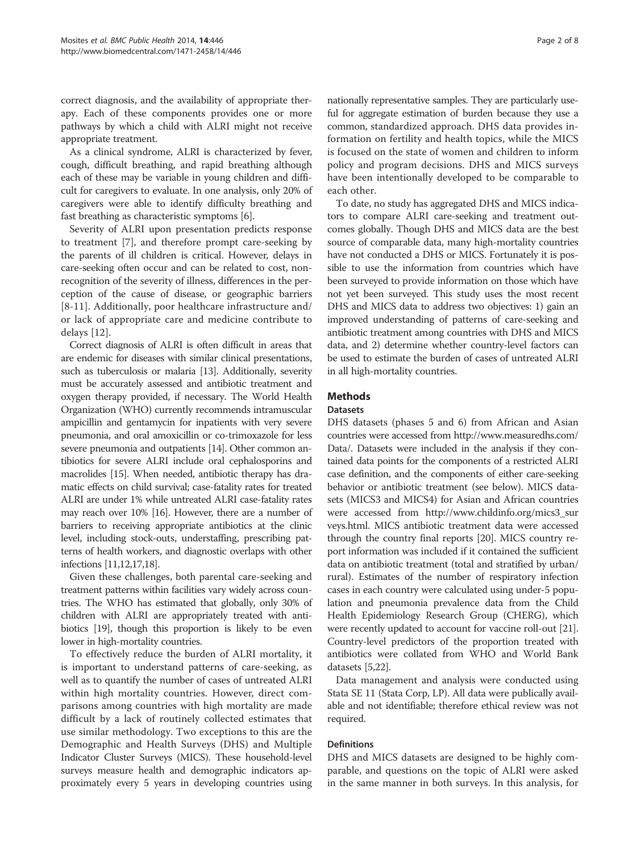correct diagnosis, and the availability of appropriate therapy. Each of these components provides one or more pathways by which a child with ALRI might not receive appropriate treatment.

As a clinical syndrome, ALRI is characterized by fever, cough, difficult breathing, and rapid breathing although each of these may be variable in young children and difficult for caregivers to evaluate. In one analysis, only 20% of caregivers were able to identify difficulty breathing and fast breathing as characteristic symptoms [\[6\]](#page-6-0).

Severity of ALRI upon presentation predicts response to treatment [[7](#page-6-0)], and therefore prompt care-seeking by the parents of ill children is critical. However, delays in care-seeking often occur and can be related to cost, nonrecognition of the severity of illness, differences in the perception of the cause of disease, or geographic barriers [[8-11\]](#page-6-0). Additionally, poor healthcare infrastructure and/ or lack of appropriate care and medicine contribute to delays [[12\]](#page-6-0).

Correct diagnosis of ALRI is often difficult in areas that are endemic for diseases with similar clinical presentations, such as tuberculosis or malaria [\[13](#page-6-0)]. Additionally, severity must be accurately assessed and antibiotic treatment and oxygen therapy provided, if necessary. The World Health Organization (WHO) currently recommends intramuscular ampicillin and gentamycin for inpatients with very severe pneumonia, and oral amoxicillin or co-trimoxazole for less severe pneumonia and outpatients [[14](#page-6-0)]. Other common antibiotics for severe ALRI include oral cephalosporins and macrolides [[15](#page-6-0)]. When needed, antibiotic therapy has dramatic effects on child survival; case-fatality rates for treated ALRI are under 1% while untreated ALRI case-fatality rates may reach over 10% [\[16\]](#page-6-0). However, there are a number of barriers to receiving appropriate antibiotics at the clinic level, including stock-outs, understaffing, prescribing patterns of health workers, and diagnostic overlaps with other infections [\[11,12,17,18\]](#page-6-0).

Given these challenges, both parental care-seeking and treatment patterns within facilities vary widely across countries. The WHO has estimated that globally, only 30% of children with ALRI are appropriately treated with antibiotics [\[19](#page-6-0)], though this proportion is likely to be even lower in high-mortality countries.

To effectively reduce the burden of ALRI mortality, it is important to understand patterns of care-seeking, as well as to quantify the number of cases of untreated ALRI within high mortality countries. However, direct comparisons among countries with high mortality are made difficult by a lack of routinely collected estimates that use similar methodology. Two exceptions to this are the Demographic and Health Surveys (DHS) and Multiple Indicator Cluster Surveys (MICS). These household-level surveys measure health and demographic indicators approximately every 5 years in developing countries using

nationally representative samples. They are particularly useful for aggregate estimation of burden because they use a common, standardized approach. DHS data provides information on fertility and health topics, while the MICS is focused on the state of women and children to inform policy and program decisions. DHS and MICS surveys have been intentionally developed to be comparable to each other.

To date, no study has aggregated DHS and MICS indicators to compare ALRI care-seeking and treatment outcomes globally. Though DHS and MICS data are the best source of comparable data, many high-mortality countries have not conducted a DHS or MICS. Fortunately it is possible to use the information from countries which have been surveyed to provide information on those which have not yet been surveyed. This study uses the most recent DHS and MICS data to address two objectives: 1) gain an improved understanding of patterns of care-seeking and antibiotic treatment among countries with DHS and MICS data, and 2) determine whether country-level factors can be used to estimate the burden of cases of untreated ALRI in all high-mortality countries.

# **Methods**

#### **Datasets**

DHS datasets (phases 5 and 6) from African and Asian countries were accessed from [http://www.measuredhs.com/](http://www.measuredhs.com/Data/) [Data/](http://www.measuredhs.com/Data/). Datasets were included in the analysis if they contained data points for the components of a restricted ALRI case definition, and the components of either care-seeking behavior or antibiotic treatment (see below). MICS datasets (MICS3 and MICS4) for Asian and African countries were accessed from [http://www.childinfo.org/mics3\\_sur](http://www.childinfo.org/mics3_surveys.html) [veys.html](http://www.childinfo.org/mics3_surveys.html). MICS antibiotic treatment data were accessed through the country final reports [\[20\]](#page-6-0). MICS country report information was included if it contained the sufficient data on antibiotic treatment (total and stratified by urban/ rural). Estimates of the number of respiratory infection cases in each country were calculated using under-5 population and pneumonia prevalence data from the Child Health Epidemiology Research Group (CHERG), which were recently updated to account for vaccine roll-out [[21](#page-6-0)]. Country-level predictors of the proportion treated with antibiotics were collated from WHO and World Bank datasets [\[5,22\]](#page-6-0).

Data management and analysis were conducted using Stata SE 11 (Stata Corp, LP). All data were publically available and not identifiable; therefore ethical review was not required.

# **Definitions**

DHS and MICS datasets are designed to be highly comparable, and questions on the topic of ALRI were asked in the same manner in both surveys. In this analysis, for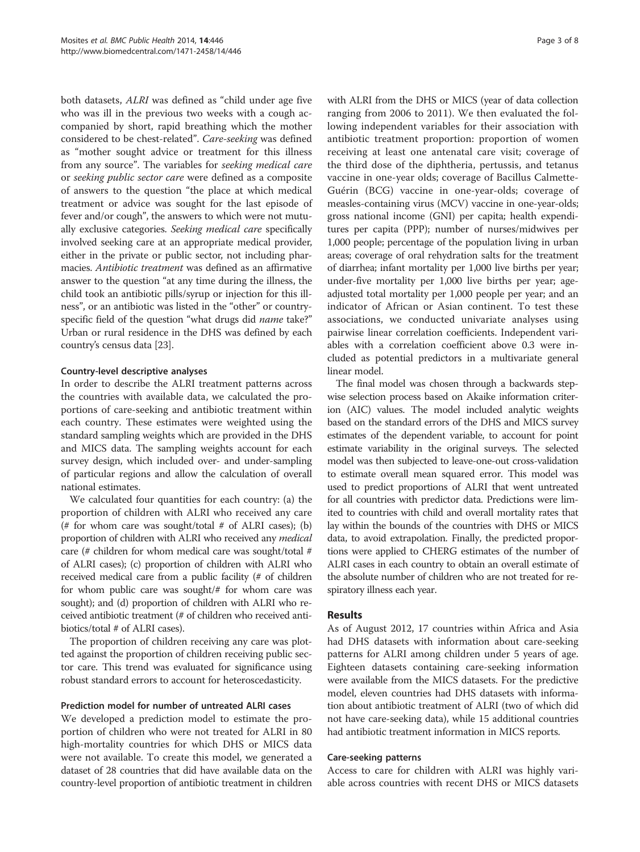both datasets, ALRI was defined as "child under age five who was ill in the previous two weeks with a cough accompanied by short, rapid breathing which the mother considered to be chest-related". Care-seeking was defined as "mother sought advice or treatment for this illness from any source". The variables for seeking medical care or seeking public sector care were defined as a composite of answers to the question "the place at which medical treatment or advice was sought for the last episode of fever and/or cough", the answers to which were not mutually exclusive categories. Seeking medical care specifically involved seeking care at an appropriate medical provider, either in the private or public sector, not including pharmacies. Antibiotic treatment was defined as an affirmative answer to the question "at any time during the illness, the child took an antibiotic pills/syrup or injection for this illness", or an antibiotic was listed in the "other" or countryspecific field of the question "what drugs did name take?" Urban or rural residence in the DHS was defined by each country's census data [[23\]](#page-6-0).

# Country-level descriptive analyses

In order to describe the ALRI treatment patterns across the countries with available data, we calculated the proportions of care-seeking and antibiotic treatment within each country. These estimates were weighted using the standard sampling weights which are provided in the DHS and MICS data. The sampling weights account for each survey design, which included over- and under-sampling of particular regions and allow the calculation of overall national estimates.

We calculated four quantities for each country: (a) the proportion of children with ALRI who received any care (# for whom care was sought/total  $#$  of ALRI cases); (b) proportion of children with ALRI who received any medical care (# children for whom medical care was sought/total # of ALRI cases); (c) proportion of children with ALRI who received medical care from a public facility (# of children for whom public care was sought/# for whom care was sought); and (d) proportion of children with ALRI who received antibiotic treatment (# of children who received antibiotics/total # of ALRI cases).

The proportion of children receiving any care was plotted against the proportion of children receiving public sector care. This trend was evaluated for significance using robust standard errors to account for heteroscedasticity.

# Prediction model for number of untreated ALRI cases

We developed a prediction model to estimate the proportion of children who were not treated for ALRI in 80 high-mortality countries for which DHS or MICS data were not available. To create this model, we generated a dataset of 28 countries that did have available data on the country-level proportion of antibiotic treatment in children with ALRI from the DHS or MICS (year of data collection ranging from 2006 to 2011). We then evaluated the following independent variables for their association with antibiotic treatment proportion: proportion of women receiving at least one antenatal care visit; coverage of the third dose of the diphtheria, pertussis, and tetanus vaccine in one-year olds; coverage of Bacillus Calmette-Guérin (BCG) vaccine in one-year-olds; coverage of measles-containing virus (MCV) vaccine in one-year-olds; gross national income (GNI) per capita; health expenditures per capita (PPP); number of nurses/midwives per 1,000 people; percentage of the population living in urban areas; coverage of oral rehydration salts for the treatment of diarrhea; infant mortality per 1,000 live births per year; under-five mortality per 1,000 live births per year; ageadjusted total mortality per 1,000 people per year; and an indicator of African or Asian continent. To test these associations, we conducted univariate analyses using pairwise linear correlation coefficients. Independent variables with a correlation coefficient above 0.3 were included as potential predictors in a multivariate general linear model.

The final model was chosen through a backwards stepwise selection process based on Akaike information criterion (AIC) values. The model included analytic weights based on the standard errors of the DHS and MICS survey estimates of the dependent variable, to account for point estimate variability in the original surveys. The selected model was then subjected to leave-one-out cross-validation to estimate overall mean squared error. This model was used to predict proportions of ALRI that went untreated for all countries with predictor data. Predictions were limited to countries with child and overall mortality rates that lay within the bounds of the countries with DHS or MICS data, to avoid extrapolation. Finally, the predicted proportions were applied to CHERG estimates of the number of ALRI cases in each country to obtain an overall estimate of the absolute number of children who are not treated for respiratory illness each year.

# Results

As of August 2012, 17 countries within Africa and Asia had DHS datasets with information about care-seeking patterns for ALRI among children under 5 years of age. Eighteen datasets containing care-seeking information were available from the MICS datasets. For the predictive model, eleven countries had DHS datasets with information about antibiotic treatment of ALRI (two of which did not have care-seeking data), while 15 additional countries had antibiotic treatment information in MICS reports.

#### Care-seeking patterns

Access to care for children with ALRI was highly variable across countries with recent DHS or MICS datasets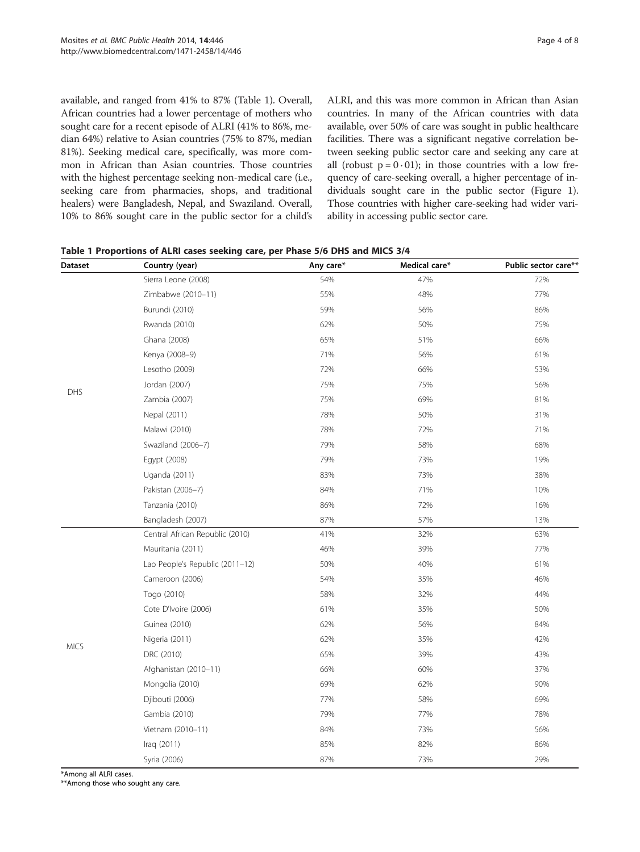available, and ranged from 41% to 87% (Table 1). Overall, African countries had a lower percentage of mothers who sought care for a recent episode of ALRI (41% to 86%, median 64%) relative to Asian countries (75% to 87%, median 81%). Seeking medical care, specifically, was more common in African than Asian countries. Those countries with the highest percentage seeking non-medical care (i.e., seeking care from pharmacies, shops, and traditional healers) were Bangladesh, Nepal, and Swaziland. Overall, 10% to 86% sought care in the public sector for a child's ALRI, and this was more common in African than Asian countries. In many of the African countries with data available, over 50% of care was sought in public healthcare facilities. There was a significant negative correlation between seeking public sector care and seeking any care at all (robust  $p = 0.01$ ); in those countries with a low frequency of care-seeking overall, a higher percentage of individuals sought care in the public sector (Figure [1](#page-4-0)). Those countries with higher care-seeking had wider variability in accessing public sector care.

| <b>Dataset</b> | Country (year)                  | Any care*  | Medical care* | Public sector care** |
|----------------|---------------------------------|------------|---------------|----------------------|
|                | Sierra Leone (2008)             | 54%        | 47%           | 72%                  |
|                | Zimbabwe (2010-11)              | 55%        | 48%           | 77%                  |
|                | Burundi (2010)                  | 59%        | 56%           | 86%                  |
| DHS            | Rwanda (2010)                   | 62%        | 50%           | 75%                  |
|                | Ghana (2008)                    | 65%        | 51%           | 66%                  |
|                | Kenya (2008-9)                  | 71%        | 56%           | 61%                  |
|                | Lesotho (2009)                  | 72%        | 66%           | 53%                  |
|                | Jordan (2007)                   | 75%        | 75%           | 56%                  |
|                | Zambia (2007)                   | 75%        | 69%           | 81%                  |
|                | Nepal (2011)                    | 78%        | 50%           | 31%                  |
|                | Malawi (2010)                   | 78%        | 72%           | 71%                  |
|                | Swaziland (2006-7)              | 79%        | 58%           | 68%                  |
|                | Egypt (2008)                    | 79%        | 73%           | 19%                  |
|                | Uganda (2011)                   | 83%        | 73%           | 38%                  |
|                | Pakistan (2006-7)               | 84%        | 71%           | 10%                  |
|                | Tanzania (2010)                 | 86%<br>72% |               | 16%                  |
|                | Bangladesh (2007)               | 87%        | 57%           | 13%                  |
|                | Central African Republic (2010) | 41%        | 32%           | 63%                  |
|                | Mauritania (2011)               | 46%        | 39%           | 77%                  |
|                | Lao People's Republic (2011-12) | 50%        | 40%           | 61%                  |
|                | Cameroon (2006)                 | 54%        | 35%           | 46%                  |
|                | Togo (2010)                     | 58%        | 32%           | 44%                  |
|                | Cote D'Ivoire (2006)            | 61%        | 35%           | 50%                  |
|                | Guinea (2010)                   | 62%        | 56%           | 84%                  |
|                | Nigeria (2011)                  | 62%        | 35%           | 42%                  |
| <b>MICS</b>    | DRC (2010)                      | 65%        | 39%           | 43%                  |
|                | Afghanistan (2010-11)           | 66%        | 60%           | 37%                  |
|                | Mongolia (2010)                 | 69%        | 62%           | 90%                  |
|                | Djibouti (2006)                 | 77%        | 58%           | 69%                  |
|                | Gambia (2010)                   | 79%        | 77%           | 78%                  |
|                | Vietnam (2010-11)               | 84%        | 73%           | 56%                  |
|                | Iraq (2011)                     | 85%        | 82%           | 86%                  |
|                | Syria (2006)                    | 87%        | 73%           | 29%                  |

| Table 1 Proportions of ALRI cases seeking care, per Phase 5/6 DHS and MICS 3/4 |  |  |  |  |  |  |
|--------------------------------------------------------------------------------|--|--|--|--|--|--|
|--------------------------------------------------------------------------------|--|--|--|--|--|--|

\*Among all ALRI cases.

\*\*Among those who sought any care.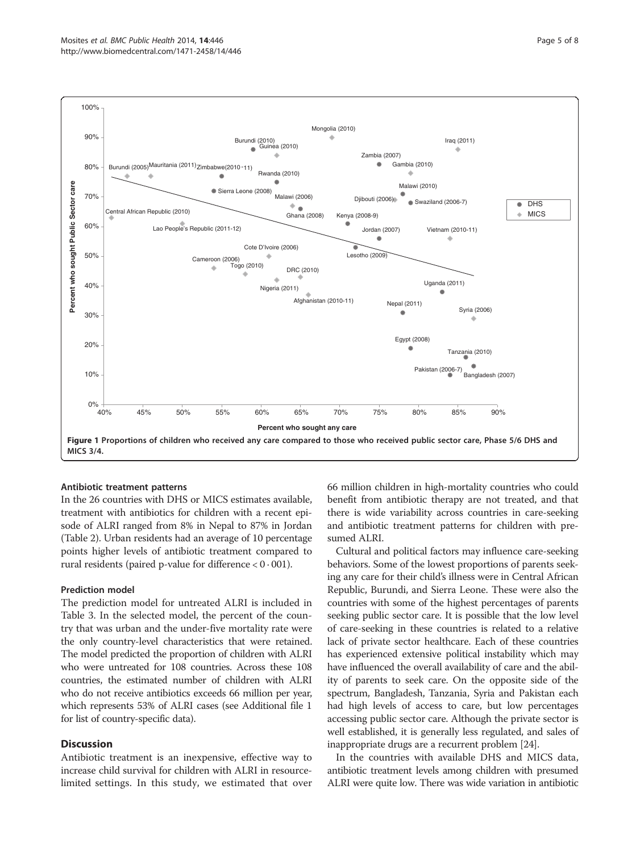<span id="page-4-0"></span>

# Antibiotic treatment patterns

In the 26 countries with DHS or MICS estimates available, treatment with antibiotics for children with a recent episode of ALRI ranged from 8% in Nepal to 87% in Jordan (Table [2\)](#page-5-0). Urban residents had an average of 10 percentage points higher levels of antibiotic treatment compared to rural residents (paired p-value for difference  $< 0.001$ ).

#### Prediction model

The prediction model for untreated ALRI is included in Table [3](#page-5-0). In the selected model, the percent of the country that was urban and the under-five mortality rate were the only country-level characteristics that were retained. The model predicted the proportion of children with ALRI who were untreated for 108 countries. Across these 108 countries, the estimated number of children with ALRI who do not receive antibiotics exceeds 66 million per year, which represents 53% of ALRI cases (see Additional file [1](#page-6-0) for list of country-specific data).

# **Discussion**

Antibiotic treatment is an inexpensive, effective way to increase child survival for children with ALRI in resourcelimited settings. In this study, we estimated that over 66 million children in high-mortality countries who could benefit from antibiotic therapy are not treated, and that there is wide variability across countries in care-seeking and antibiotic treatment patterns for children with presumed ALRI.

Cultural and political factors may influence care-seeking behaviors. Some of the lowest proportions of parents seeking any care for their child's illness were in Central African Republic, Burundi, and Sierra Leone. These were also the countries with some of the highest percentages of parents seeking public sector care. It is possible that the low level of care-seeking in these countries is related to a relative lack of private sector healthcare. Each of these countries has experienced extensive political instability which may have influenced the overall availability of care and the ability of parents to seek care. On the opposite side of the spectrum, Bangladesh, Tanzania, Syria and Pakistan each had high levels of access to care, but low percentages accessing public sector care. Although the private sector is well established, it is generally less regulated, and sales of inappropriate drugs are a recurrent problem [\[24\]](#page-6-0).

In the countries with available DHS and MICS data, antibiotic treatment levels among children with presumed ALRI were quite low. There was wide variation in antibiotic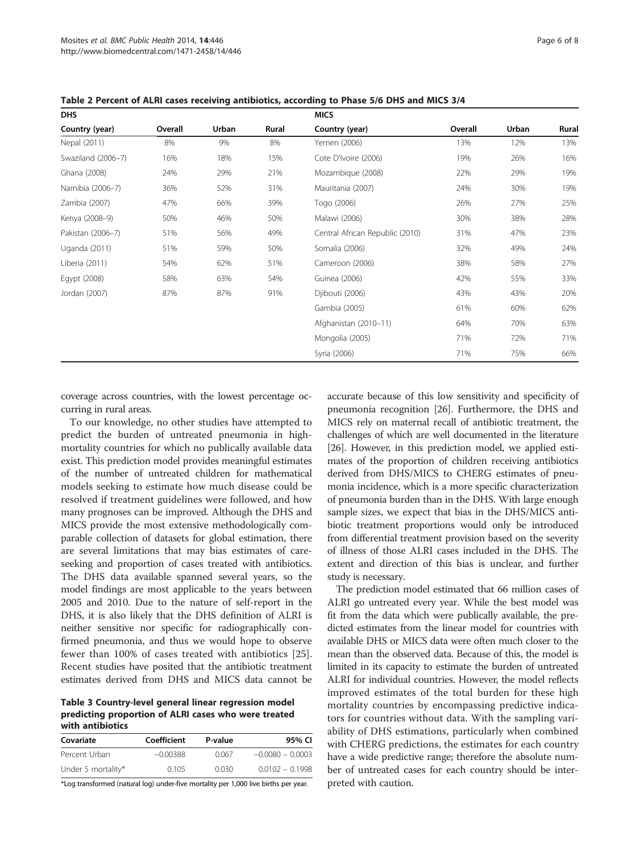| <b>DHS</b>         |         |       | <b>MICS</b> |                                 |         |       |       |
|--------------------|---------|-------|-------------|---------------------------------|---------|-------|-------|
| Country (year)     | Overall | Urban | Rural       | Country (year)                  | Overall | Urban | Rural |
| Nepal (2011)       | 8%      | 9%    | 8%          | Yemen (2006)                    | 13%     | 12%   | 13%   |
| Swaziland (2006-7) | 16%     | 18%   | 15%         | Cote D'Ivoire (2006)            | 19%     | 26%   | 16%   |
| Ghana (2008)       | 24%     | 29%   | 21%         | Mozambique (2008)               | 22%     | 29%   | 19%   |
| Namibia (2006-7)   | 36%     | 52%   | 31%         | Mauritania (2007)               | 24%     | 30%   | 19%   |
| Zambia (2007)      | 47%     | 66%   | 39%         | Togo (2006)                     | 26%     | 27%   | 25%   |
| Kenya (2008-9)     | 50%     | 46%   | 50%         | Malawi (2006)                   | 30%     | 38%   | 28%   |
| Pakistan (2006-7)  | 51%     | 56%   | 49%         | Central African Republic (2010) | 31%     | 47%   | 23%   |
| Uganda (2011)      | 51%     | 59%   | 50%         | Somalia (2006)                  | 32%     | 49%   | 24%   |
| Liberia (2011)     | 54%     | 62%   | 51%         | Cameroon (2006)                 | 38%     | 58%   | 27%   |
| Egypt (2008)       | 58%     | 63%   | 54%         | Guinea (2006)                   | 42%     | 55%   | 33%   |
| Jordan (2007)      | 87%     | 87%   | 91%         | Djibouti (2006)                 | 43%     | 43%   | 20%   |
|                    |         |       |             | Gambia (2005)                   | 61%     | 60%   | 62%   |
|                    |         |       |             | Afghanistan (2010-11)           | 64%     | 70%   | 63%   |
|                    |         |       |             | Mongolia (2005)                 | 71%     | 72%   | 71%   |
|                    |         |       |             | Syria (2006)                    | 71%     | 75%   | 66%   |

<span id="page-5-0"></span>Table 2 Percent of ALRI cases receiving antibiotics, according to Phase 5/6 DHS and MICS 3/4

coverage across countries, with the lowest percentage occurring in rural areas.

To our knowledge, no other studies have attempted to predict the burden of untreated pneumonia in highmortality countries for which no publically available data exist. This prediction model provides meaningful estimates of the number of untreated children for mathematical models seeking to estimate how much disease could be resolved if treatment guidelines were followed, and how many prognoses can be improved. Although the DHS and MICS provide the most extensive methodologically comparable collection of datasets for global estimation, there are several limitations that may bias estimates of careseeking and proportion of cases treated with antibiotics. The DHS data available spanned several years, so the model findings are most applicable to the years between 2005 and 2010. Due to the nature of self-report in the DHS, it is also likely that the DHS definition of ALRI is neither sensitive nor specific for radiographically confirmed pneumonia, and thus we would hope to observe fewer than 100% of cases treated with antibiotics [\[25](#page-6-0)]. Recent studies have posited that the antibiotic treatment estimates derived from DHS and MICS data cannot be

Table 3 Country-level general linear regression model predicting proportion of ALRI cases who were treated with antibiotics

| Covariate          | Coefficient | P-value | 95% CI             |
|--------------------|-------------|---------|--------------------|
| Percent Urban      | $-0.00388$  | 0.067   | $-0.0080 - 0.0003$ |
| Under 5 mortality* | 0.105       | 0.030   | $0.0102 - 0.1998$  |

\*Log transformed (natural log) under-five mortality per 1,000 live births per year.

accurate because of this low sensitivity and specificity of pneumonia recognition [\[26\]](#page-6-0). Furthermore, the DHS and MICS rely on maternal recall of antibiotic treatment, the challenges of which are well documented in the literature [[26](#page-6-0)]. However, in this prediction model, we applied estimates of the proportion of children receiving antibiotics derived from DHS/MICS to CHERG estimates of pneumonia incidence, which is a more specific characterization of pneumonia burden than in the DHS. With large enough sample sizes, we expect that bias in the DHS/MICS antibiotic treatment proportions would only be introduced from differential treatment provision based on the severity of illness of those ALRI cases included in the DHS. The extent and direction of this bias is unclear, and further study is necessary.

The prediction model estimated that 66 million cases of ALRI go untreated every year. While the best model was fit from the data which were publically available, the predicted estimates from the linear model for countries with available DHS or MICS data were often much closer to the mean than the observed data. Because of this, the model is limited in its capacity to estimate the burden of untreated ALRI for individual countries. However, the model reflects improved estimates of the total burden for these high mortality countries by encompassing predictive indicators for countries without data. With the sampling variability of DHS estimations, particularly when combined with CHERG predictions, the estimates for each country have a wide predictive range; therefore the absolute number of untreated cases for each country should be interpreted with caution.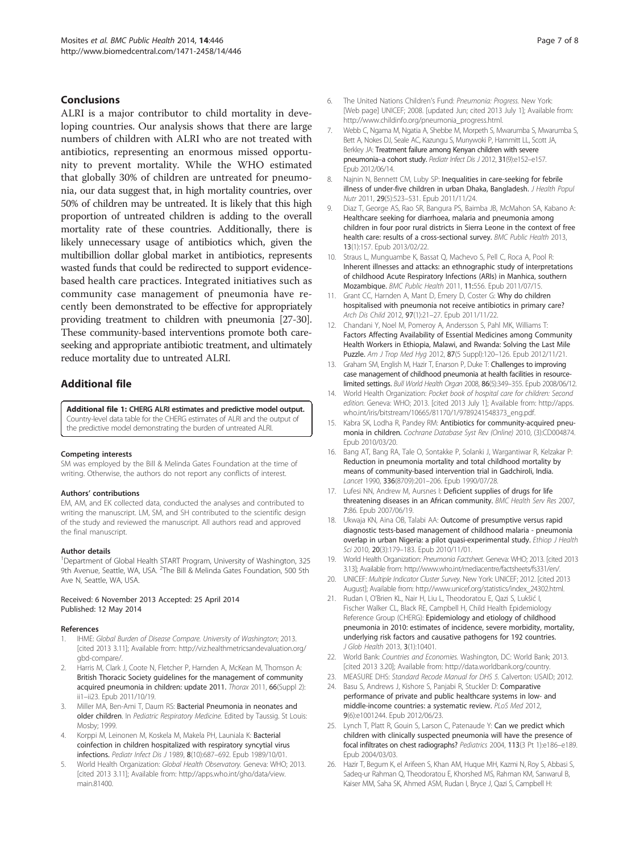#### <span id="page-6-0"></span>Conclusions

ALRI is a major contributor to child mortality in developing countries. Our analysis shows that there are large numbers of children with ALRI who are not treated with antibiotics, representing an enormous missed opportunity to prevent mortality. While the WHO estimated that globally 30% of children are untreated for pneumonia, our data suggest that, in high mortality countries, over 50% of children may be untreated. It is likely that this high proportion of untreated children is adding to the overall mortality rate of these countries. Additionally, there is likely unnecessary usage of antibiotics which, given the multibillion dollar global market in antibiotics, represents wasted funds that could be redirected to support evidencebased health care practices. Integrated initiatives such as community case management of pneumonia have recently been demonstrated to be effective for appropriately providing treatment to children with pneumonia [\[27-30](#page-7-0)]. These community-based interventions promote both careseeking and appropriate antibiotic treatment, and ultimately reduce mortality due to untreated ALRI.

# Additional file

[Additional file 1:](http://www.biomedcentral.com/content/supplementary/1471-2458-14-446-S1.docx) CHERG ALRI estimates and predictive model output. Country-level data table for the CHERG estimates of ALRI and the output of the predictive model demonstrating the burden of untreated ALRI.

#### Competing interests

SM was employed by the Bill & Melinda Gates Foundation at the time of writing. Otherwise, the authors do not report any conflicts of interest.

#### Authors' contributions

EM, AM, and EK collected data, conducted the analyses and contributed to writing the manuscript. LM, SM, and SH contributed to the scientific design of the study and reviewed the manuscript. All authors read and approved the final manuscript.

#### Author details

<sup>1</sup>Department of Global Health START Program, University of Washington, 325 9th Avenue, Seattle, WA, USA. <sup>2</sup>The Bill & Melinda Gates Foundation, 500 5th Ave N, Seattle, WA, USA.

#### Received: 6 November 2013 Accepted: 25 April 2014 Published: 12 May 2014

#### References

- 1. IHME: Global Burden of Disease Compare. University of Washington; 2013. [cited 2013 3.11]; Available from: [http://viz.healthmetricsandevaluation.org/](http://viz.healthmetricsandevaluation.org/gbd-compare/) [gbd-compare/](http://viz.healthmetricsandevaluation.org/gbd-compare/).
- Harris M, Clark J, Coote N, Fletcher P, Harnden A, McKean M, Thomson A: British Thoracic Society guidelines for the management of community acquired pneumonia in children: update 2011. Thorax 2011, 66(Suppl 2): ii1–ii23. Epub 2011/10/19.
- 3. Miller MA, Ben-Ami T, Daum RS: Bacterial Pneumonia in neonates and older children. In Pediatric Respiratory Medicine. Edited by Taussig. St Louis: Mosby; 1999.
- Korppi M, Leinonen M, Koskela M, Makela PH, Launiala K: Bacterial coinfection in children hospitalized with respiratory syncytial virus infections. Pediatr Infect Dis J 1989, 8(10):687–692. Epub 1989/10/01.
- World Health Organization: Global Health Observatory. Geneva: WHO; 2013. [cited 2013 3.11]; Available from: [http://apps.who.int/gho/data/view.](http://apps.who.int/gho/data/view.main.81400) [main.81400](http://apps.who.int/gho/data/view.main.81400).
- 6. The United Nations Children's Fund: Pneumonia: Progress. New York: [Web page] UNICEF; 2008. [updated Jun; cited 2013 July 1]; Available from: [http://www.childinfo.org/pneumonia\\_progress.html](http://www.childinfo.org/pneumonia_progress.html).
- 7. Webb C, Ngama M, Ngatia A, Shebbe M, Morpeth S, Mwarumba S, Mwarumba S, Bett A, Nokes DJ, Seale AC, Kazungu S, Munywoki P, Hammitt LL, Scott JA, Berkley JA: Treatment failure among Kenyan children with severe pneumonia–a cohort study. Pediatr Infect Dis J 2012, 31(9):e152–e157. Epub 2012/06/14.
- 8. Najnin N, Bennett CM, Luby SP: Inequalities in care-seeking for febrile illness of under-five children in urban Dhaka, Bangladesh. J Health Popul Nutr 2011, 29(5):523–531. Epub 2011/11/24.
- 9. Diaz T, George AS, Rao SR, Bangura PS, Baimba JB, McMahon SA, Kabano A: Healthcare seeking for diarrhoea, malaria and pneumonia among children in four poor rural districts in Sierra Leone in the context of free health care: results of a cross-sectional survey. BMC Public Health 2013, 13(1):157. Epub 2013/02/22.
- 10. Straus L, Munguambe K, Bassat Q, Machevo S, Pell C, Roca A, Pool R: Inherent illnesses and attacks: an ethnographic study of interpretations of childhood Acute Respiratory Infections (ARIs) in Manhica, southern Mozambique. BMC Public Health 2011, 11:556. Epub 2011/07/15.
- 11. Grant CC, Harnden A, Mant D, Emery D, Coster G: Why do children hospitalised with pneumonia not receive antibiotics in primary care? Arch Dis Child 2012, 97(1):21–27. Epub 2011/11/22.
- 12. Chandani Y, Noel M, Pomeroy A, Andersson S, Pahl MK, Williams T: Factors Affecting Availability of Essential Medicines among Community Health Workers in Ethiopia, Malawi, and Rwanda: Solving the Last Mile Puzzle. Am J Trop Med Hyg 2012, 87(5 Suppl):120–126. Epub 2012/11/21.
- 13. Graham SM, English M, Hazir T, Enarson P, Duke T; Challenges to improving case management of childhood pneumonia at health facilities in resourcelimited settings. Bull World Health Organ 2008, 86(5):349–355. Epub 2008/06/12.
- 14. World Health Organization: Pocket book of hospital care for children: Second edition. Geneva: WHO; 2013. [cited 2013 July 1]; Available from: [http://apps.](http://apps.who.int/iris/bitstream/10665/81170/1/9789241548373_eng.pdf) [who.int/iris/bitstream/10665/81170/1/9789241548373\\_eng.pdf](http://apps.who.int/iris/bitstream/10665/81170/1/9789241548373_eng.pdf).
- 15. Kabra SK, Lodha R, Pandey RM: Antibiotics for community-acquired pneumonia in children. Cochrane Database Syst Rev (Online) 2010, (3):CD004874. Epub 2010/03/20.
- 16. Bang AT, Bang RA, Tale O, Sontakke P, Solanki J, Wargantiwar R, Kelzakar P: Reduction in pneumonia mortality and total childhood mortality by means of community-based intervention trial in Gadchiroli, India. Lancet 1990, 336(8709):201–206. Epub 1990/07/28.
- 17. Lufesi NN, Andrew M, Aursnes I: Deficient supplies of drugs for life threatening diseases in an African community. BMC Health Serv Res 2007, 7:86. Epub 2007/06/19.
- 18. Ukwaja KN, Aina OB, Talabi AA: Outcome of presumptive versus rapid diagnostic tests-based management of childhood malaria - pneumonia overlap in urban Nigeria: a pilot quasi-experimental study. Ethiop J Health Sci 2010, 20(3):179–183. Epub 2010/11/01.
- 19. World Health Organization: Pneumonia Factsheet. Geneva: WHO; 2013. [cited 2013 3.13]; Available from: [http://www.who.int/mediacentre/factsheets/fs331/en/.](http://www.who.int/mediacentre/factsheets/fs331/en/)
- 20. UNICEF: Multiple Indicator Cluster Survey. New York: UNICEF; 2012. [cited 2013 August]; Available from: [http://www.unicef.org/statistics/index\\_24302.html](http://www.unicef.org/statistics/index_24302.html).
- 21. Rudan I, O'Brien KL, Nair H, Liu L, Theodoratou E, Qazi S, Lukšić I, Fischer Walker CL, Black RE, Campbell H, Child Health Epidemiology Reference Group (CHERG): Epidemiology and etiology of childhood pneumonia in 2010: estimates of incidence, severe morbidity, mortality, underlying risk factors and causative pathogens for 192 countries. J Glob Health 2013, 3(1):10401.
- 22. World Bank: Countries and Economies. Washington, DC: World Bank; 2013. [cited 2013 3.20]; Available from:<http://data.worldbank.org/country>.
- 23. MEASURE DHS: Standard Recode Manual for DHS 5. Calverton: USAID; 2012.
- 24. Basu S, Andrews J, Kishore S, Panjabi R, Stuckler D: Comparative performance of private and public healthcare systems in low- and middle-income countries: a systematic review. PLoS Med 2012, 9(6):e1001244. Epub 2012/06/23.
- 25. Lynch T, Platt R, Gouin S, Larson C, Patenaude Y: Can we predict which children with clinically suspected pneumonia will have the presence of focal infiltrates on chest radiographs? Pediatrics 2004, 113(3 Pt 1):e186–e189. Epub 2004/03/03.
- 26. Hazir T, Begum K, el Arifeen S, Khan AM, Huque MH, Kazmi N, Roy S, Abbasi S, Sadeq-ur Rahman Q, Theodoratou E, Khorshed MS, Rahman KM, Sanwarul B, Kaiser MM, Saha SK, Ahmed ASM, Rudan I, Bryce J, Qazi S, Campbell H: